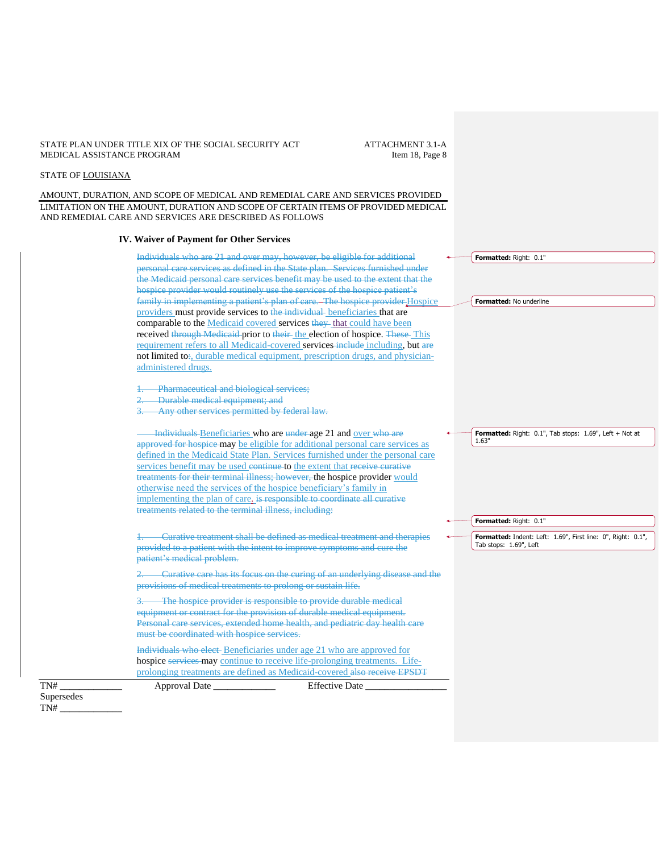## STATE PLAN UNDER TITLE XIX OF THE SOCIAL SECURITY ACT ATTACHMENT 3.1-A MEDICAL ASSISTANCE PROGRAM MEDICAL ASSISTANCE PROGRAM

# STATE OF LOUISIANA

AMOUNT, DURATION, AND SCOPE OF MEDICAL AND REMEDIAL CARE AND SERVICES PROVIDED LIMITATION ON THE AMOUNT, DURATION AND SCOPE OF CERTAIN ITEMS OF PROVIDED MEDICAL AND REMEDIAL CARE AND SERVICES ARE DESCRIBED AS FOLLOWS

### **IV. Waiver of Payment for Other Services**

Individuals who are 21 and over may, however, be eligible for additional personal care services as defined in the State plan. Services furnished under the Medicaid personal care services benefit may be used to the extent that the hospice provider would routinely use the services of the hospice patient's family in implementing a patient's plan of care. The hospice provider Hospice providers must provide services to the individual beneficiaries that are comparable to the Medicaid covered services they that could have been received through Medicaid prior to their the election of hospice. These This requirement refers to all Medicaid-covered services-include including, but are not limited to:, durable medical equipment, prescription drugs, and physicianadministered drugs.

Pharmaceutical and biological services;

2. Durable medical equipment; and

Any other services permitted by federal law.

Individuals Beneficiaries who are under age 21 and over who are approved for hospice may be eligible for additional personal care services as defined in the Medicaid State Plan. Services furnished under the personal care services benefit may be used continue to the extent that receive curative treatments for their terminal illness; however, the hospice provider would otherwise need the services of the hospice beneficiary's family in implementing the plan of care. is responsible to coordinate all curative treatments related to the terminal illness, including:

1. Curative treatment shall be defined as medical treatment and therapies provided to a patient with the intent to improve symptoms and cure the patient's medical problem.

2. Curative care has its focus on the curing of an underlying disease and the provisions of medical treatments to prolong or sustain life.

3. The hospice provider is responsible to provide durable medical equipment or contract for the provision of durable medical equipment. Personal care services, extended home health, and pediatric day health care must be coordinated with hospice services.

Individuals who elect Beneficiaries under age 21 who are approved for hospice services may continue to receive life-prolonging treatments. Lifeprolonging treatments are defined as Medicaid-covered also receive EPSDT

TN# \_\_\_\_\_\_\_\_\_\_\_\_\_ Approval Date \_\_\_\_\_\_\_\_\_\_\_\_\_ Effective Date \_\_\_\_\_\_\_\_\_\_\_\_\_\_\_\_\_

Supersedes TN# \_\_\_\_\_\_\_\_\_\_\_\_\_

**Formatted:** Right: 0.1", Tab stops: 1.69", Left + Not at 1.63"

**Formatted:** Right: 0.1"

**Formatted:** Right: 0.1"

**Formatted:** No underline

**Formatted:** Indent: Left: 1.69", First line: 0", Right: 0.1", Tab stops: 1.69", Left